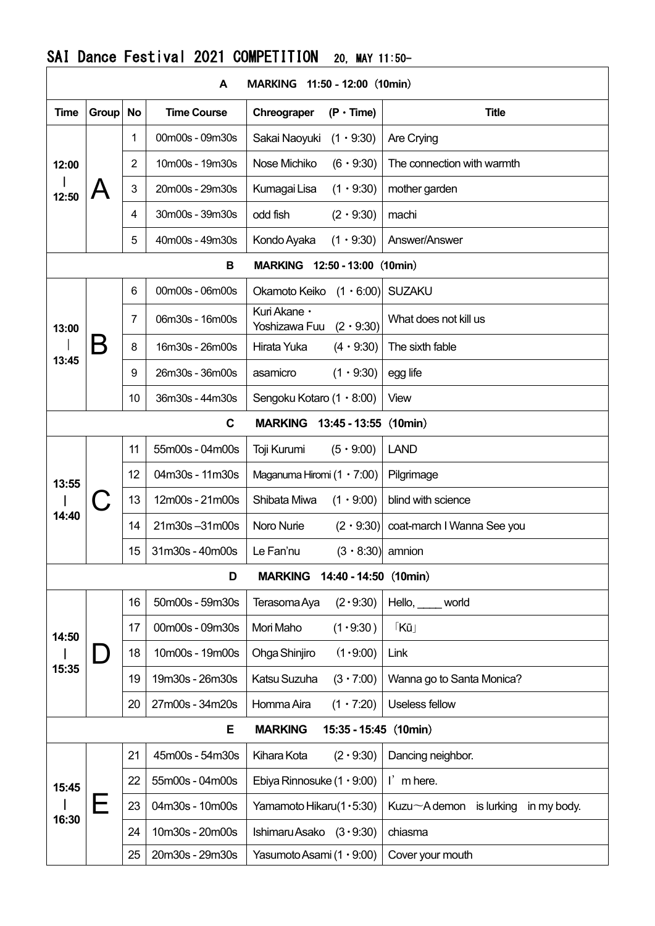## SAI Dance Festival 2021 COMPETITION 20, MAY 11:50-

| A<br><b>MARKING</b><br>$11:50 - 12:00$ (10min)  |       |                |                    |                                                   |                                                  |  |  |  |
|-------------------------------------------------|-------|----------------|--------------------|---------------------------------------------------|--------------------------------------------------|--|--|--|
| <b>Time</b>                                     | Group | <b>No</b>      | <b>Time Course</b> | Chreograper<br>$(P \cdot Time)$                   | <b>Title</b>                                     |  |  |  |
| 12:00<br>12:50                                  |       | 1              | 00m00s - 09m30s    | Sakai Naoyuki<br>$(1 \cdot 9:30)$                 | Are Crying                                       |  |  |  |
|                                                 |       | $\overline{2}$ | 10m00s - 19m30s    | Nose Michiko<br>$(6 \cdot 9:30)$                  | The connection with warmth                       |  |  |  |
|                                                 |       | 3              | 20m00s - 29m30s    | Kumagai Lisa<br>$(1 \cdot 9:30)$                  | mother garden                                    |  |  |  |
|                                                 |       | 4              | 30m00s - 39m30s    | odd fish<br>$(2 \cdot 9:30)$                      | machi                                            |  |  |  |
|                                                 |       | 5              | 40m00s - 49m30s    | $(1 \cdot 9:30)$<br>Kondo Ayaka                   | Answer/Answer                                    |  |  |  |
| <b>MARKING</b><br>$12:50 - 13:00$ (10min)<br>В  |       |                |                    |                                                   |                                                  |  |  |  |
| 13:00<br>13:45                                  |       | 6              | 00m00s - 06m00s    | Okamoto Keiko $(1 \cdot 6.00)$                    | <b>SUZAKU</b>                                    |  |  |  |
|                                                 |       | $\overline{7}$ | 06m30s - 16m00s    | Kuri Akane ·<br>Yoshizawa Fuu<br>$(2 \cdot 9:30)$ | What does not kill us                            |  |  |  |
|                                                 |       | 8              | 16m30s - 26m00s    | Hirata Yuka<br>$(4 \cdot 9:30)$                   | The sixth fable                                  |  |  |  |
|                                                 |       | 9              | 26m30s - 36m00s    | $(1 \cdot 9:30)$<br>asamicro                      | egg life                                         |  |  |  |
|                                                 |       | 10             | 36m30s - 44m30s    | Sengoku Kotaro $(1 \cdot 8.00)$                   | View                                             |  |  |  |
|                                                 |       |                | C                  | (10min)<br>13:45 - 13:55                          |                                                  |  |  |  |
|                                                 |       | 11             | 55m00s - 04m00s    | $(5 \cdot 9:00)$<br>Toji Kurumi                   | <b>LAND</b>                                      |  |  |  |
| 13:55<br>14:40                                  |       | 12             | 04m30s - 11m30s    | Maganuma Hiromi $(1 \cdot 7:00)$                  | Pilgrimage                                       |  |  |  |
|                                                 |       | 13             | 12m00s - 21m00s    | $(1 \cdot 9:00)$<br>Shibata Miwa                  | blind with science                               |  |  |  |
|                                                 |       | 14             | 21m30s-31m00s      | Noro Nurie<br>$(2 \cdot 9:30)$                    | coat-march I Wanna See you                       |  |  |  |
|                                                 |       | 15             | 31m30s - 40m00s    | Le Fan'nu<br>$(3 \cdot 8:30)$ amnion              |                                                  |  |  |  |
| (10min)<br>D<br><b>MARKING</b><br>14:40 - 14:50 |       |                |                    |                                                   |                                                  |  |  |  |
| 14:50                                           |       | 16             | 50m00s - 59m30s    | (2.9:30)<br>Terasoma Aya                          | $Hello, \_\_$<br>world                           |  |  |  |
|                                                 |       | 17             | 00m00s - 09m30s    | (1.9:30)<br>Mori Maho                             | $K\bar{u}$                                       |  |  |  |
|                                                 |       | 18             | 10m00s - 19m00s    | (1.9:00)<br>Ohga Shinjiro                         | Link                                             |  |  |  |
| 15:35                                           |       | 19             | 19m30s - 26m30s    | Katsu Suzuha<br>$(3 \cdot 7:00)$                  | Wanna go to Santa Monica?                        |  |  |  |
|                                                 |       | 20             | 27m00s - 34m20s    | Homma Aira<br>$(1 \cdot 7:20)$                    | Useless fellow                                   |  |  |  |
| Е<br><b>MARKING</b><br>$15:35 - 15:45$ (10min)  |       |                |                    |                                                   |                                                  |  |  |  |
| 15:45<br>16:30                                  |       | 21             | 45m00s - 54m30s    | Kihara Kota<br>$(2 \cdot 9:30)$                   | Dancing neighbor.                                |  |  |  |
|                                                 |       | 22             | 55m00s - 04m00s    | Ebiya Rinnosuke $(1 \cdot 9:00)$                  | $\mathsf{I}'$ m here.                            |  |  |  |
|                                                 |       | 23             | 04m30s - 10m00s    | Yamamoto Hikaru(1 · 5:30)                         | Kuzu $\sim$ A demon<br>is lurking<br>in my body. |  |  |  |
|                                                 |       | 24             | 10m30s - 20m00s    | Ishimaru Asako $(3.9:30)$                         | chiasma                                          |  |  |  |
|                                                 |       | 25             | 20m30s - 29m30s    | Yasumoto Asami (1 · 9:00)                         | Cover your mouth                                 |  |  |  |